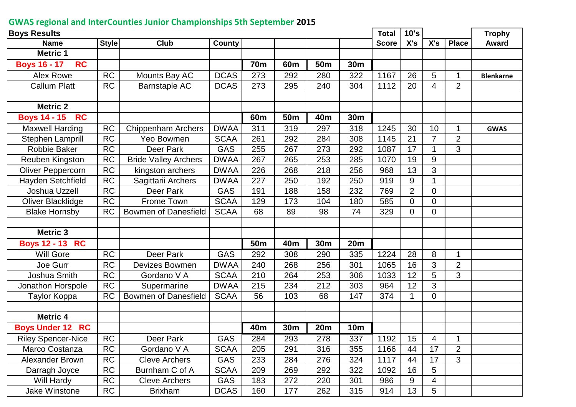## **GWAS regional and InterCounties Junior Championships 5th September 2015**

| <b>Boys Results</b>              |              |                             |             |            |                 |                 |            | <b>Total</b> | 10's           |                |                | <b>Trophy</b>    |
|----------------------------------|--------------|-----------------------------|-------------|------------|-----------------|-----------------|------------|--------------|----------------|----------------|----------------|------------------|
| <b>Name</b>                      | <b>Style</b> | Club                        | County      |            |                 |                 |            | <b>Score</b> | X's            | X's            | <b>Place</b>   | <b>Award</b>     |
| <b>Metric 1</b>                  |              |                             |             |            |                 |                 |            |              |                |                |                |                  |
| <b>Boys 16 - 17</b><br><b>RC</b> |              |                             |             | <b>70m</b> | 60 <sub>m</sub> | 50 <sub>m</sub> | 30m        |              |                |                |                |                  |
| <b>Alex Rowe</b>                 | <b>RC</b>    | Mounts Bay AC               | <b>DCAS</b> | 273        | 292             | 280             | 322        | 1167         | 26             | 5              | 1              | <b>Blenkarne</b> |
| <b>Callum Platt</b>              | <b>RC</b>    | <b>Barnstaple AC</b>        | <b>DCAS</b> | 273        | 295             | 240             | 304        | 1112         | 20             | 4              | $\overline{2}$ |                  |
|                                  |              |                             |             |            |                 |                 |            |              |                |                |                |                  |
| <b>Metric 2</b>                  |              |                             |             |            |                 |                 |            |              |                |                |                |                  |
| <b>Boys 14 - 15</b><br><b>RC</b> |              |                             |             | 60m        | 50 <sub>m</sub> | 40m             | 30m        |              |                |                |                |                  |
| <b>Maxwell Harding</b>           | <b>RC</b>    | <b>Chippenham Archers</b>   | <b>DWAA</b> | 311        | 319             | 297             | 318        | 1245         | 30             | 10             | 1              | <b>GWAS</b>      |
| Stephen Lamprill                 | <b>RC</b>    | Yeo Bowmen                  | <b>SCAA</b> | 261        | 292             | 284             | 308        | 1145         | 21             | 7              | $\overline{2}$ |                  |
| <b>Robbie Baker</b>              | <b>RC</b>    | Deer Park                   | <b>GAS</b>  | 255        | 267             | 273             | 292        | 1087         | 17             |                | 3              |                  |
| Reuben Kingston                  | <b>RC</b>    | <b>Bride Valley Archers</b> | <b>DWAA</b> | 267        | 265             | 253             | 285        | 1070         | 19             | 9              |                |                  |
| <b>Oliver Peppercorn</b>         | <b>RC</b>    | kingston archers            | <b>DWAA</b> | 226        | 268             | 218             | 256        | 968          | 13             | 3              |                |                  |
| Hayden Setchfield                | <b>RC</b>    | Sagittarii Archers          | <b>DWAA</b> | 227        | 250             | 192             | 250        | 919          | 9              | 1              |                |                  |
| Joshua Uzzell                    | <b>RC</b>    | Deer Park                   | <b>GAS</b>  | 191        | 188             | 158             | 232        | 769          | $\overline{2}$ | 0              |                |                  |
| Oliver Blacklidge                | <b>RC</b>    | Frome Town                  | <b>SCAA</b> | 129        | 173             | 104             | 180        | 585          | $\overline{0}$ | $\overline{0}$ |                |                  |
| <b>Blake Hornsby</b>             | <b>RC</b>    | <b>Bowmen of Danesfield</b> | <b>SCAA</b> | 68         | 89              | 98              | 74         | 329          | $\overline{0}$ | 0              |                |                  |
|                                  |              |                             |             |            |                 |                 |            |              |                |                |                |                  |
| <b>Metric 3</b>                  |              |                             |             |            |                 |                 |            |              |                |                |                |                  |
| <b>Boys 12 - 13 RC</b>           |              |                             |             | 50m        | 40m             | <b>30m</b>      | <b>20m</b> |              |                |                |                |                  |
| <b>Will Gore</b>                 | <b>RC</b>    | Deer Park                   | <b>GAS</b>  | 292        | 308             | 290             | 335        | 1224         | 28             | 8              | 1              |                  |
| Joe Gurr                         | <b>RC</b>    | Devizes Bowmen              | <b>DWAA</b> | 240        | 268             | 256             | 301        | 1065         | 16             | 3              | $\overline{2}$ |                  |
| Joshua Smith                     | <b>RC</b>    | Gordano V A                 | <b>SCAA</b> | 210        | 264             | 253             | 306        | 1033         | 12             | 5              | 3              |                  |
| Jonathon Horspole                | <b>RC</b>    | Supermarine                 | <b>DWAA</b> | 215        | 234             | 212             | 303        | 964          | 12             | 3              |                |                  |
| Taylor Koppa                     | <b>RC</b>    | <b>Bowmen of Danesfield</b> | <b>SCAA</b> | 56         | 103             | 68              | 147        | 374          | 1              | $\Omega$       |                |                  |
|                                  |              |                             |             |            |                 |                 |            |              |                |                |                |                  |
| <b>Metric 4</b>                  |              |                             |             |            |                 |                 |            |              |                |                |                |                  |
| <b>Boys Under 12 RC</b>          |              |                             |             | 40m        | 30m             | 20m             | <b>10m</b> |              |                |                |                |                  |
| <b>Riley Spencer-Nice</b>        | ${\sf RC}$   | Deer Park                   | GAS         | 284        | 293             | 278             | 337        | 1192         | 15             | 4              |                |                  |
| Marco Costanza                   | <b>RC</b>    | Gordano V A                 | <b>SCAA</b> | 205        | 291             | 316             | 355        | 1166         | 44             | 17             | $\overline{2}$ |                  |
| <b>Alexander Brown</b>           | <b>RC</b>    | <b>Cleve Archers</b>        | <b>GAS</b>  | 233        | 284             | 276             | 324        | 1117         | 44             | 17             | 3              |                  |
| Darragh Joyce                    | <b>RC</b>    | Burnham C of A              | <b>SCAA</b> | 209        | 269             | 292             | 322        | 1092         | 16             | 5              |                |                  |
| Will Hardy                       | <b>RC</b>    | <b>Cleve Archers</b>        | <b>GAS</b>  | 183        | 272             | 220             | 301        | 986          | 9              | 4              |                |                  |
| Jake Winstone                    | <b>RC</b>    | <b>Brixham</b>              | <b>DCAS</b> | 160        | 177             | 262             | 315        | 914          | 13             | 5              |                |                  |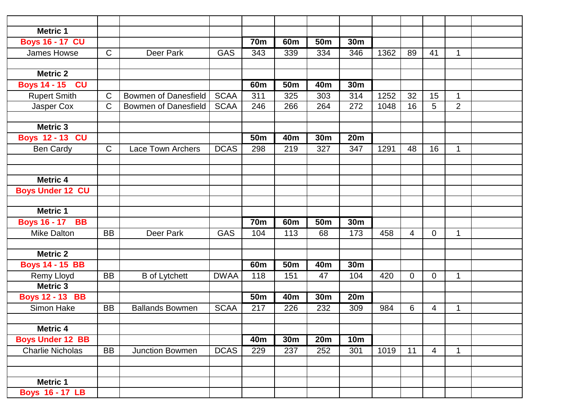| <b>Metric 1</b>         |                |                             |             |                 |                 |                 |                   |      |                |                |                |  |
|-------------------------|----------------|-----------------------------|-------------|-----------------|-----------------|-----------------|-------------------|------|----------------|----------------|----------------|--|
| <b>Boys 16 - 17 CU</b>  |                |                             |             | <b>70m</b>      | 60 <sub>m</sub> | 50 <sub>m</sub> | $\overline{3}$ 0m |      |                |                |                |  |
| James Howse             | $\mathsf{C}$   | Deer Park                   | <b>GAS</b>  | 343             | 339             | 334             | 346               | 1362 | 89             | 41             | $\mathbf{1}$   |  |
|                         |                |                             |             |                 |                 |                 |                   |      |                |                |                |  |
| <b>Metric 2</b>         |                |                             |             |                 |                 |                 |                   |      |                |                |                |  |
| <b>Boys 14 - 15 CU</b>  |                |                             |             | 60 <sub>m</sub> | <b>50m</b>      | 40 <sub>m</sub> | 30m               |      |                |                |                |  |
| <b>Rupert Smith</b>     | $\mathsf C$    | <b>Bowmen of Danesfield</b> | <b>SCAA</b> | 311             | 325             | 303             | 314               | 1252 | 32             | 15             | $\mathbf{1}$   |  |
| Jasper Cox              | $\mathsf{C}$   | <b>Bowmen of Danesfield</b> | <b>SCAA</b> | 246             | 266             | 264             | 272               | 1048 | 16             | 5              | $\overline{2}$ |  |
| <b>Metric 3</b>         |                |                             |             |                 |                 |                 |                   |      |                |                |                |  |
| <b>Boys 12 - 13 CU</b>  |                |                             |             | 50 <sub>m</sub> | 40 <sub>m</sub> | 30m             | 20 <sub>m</sub>   |      |                |                |                |  |
| <b>Ben Cardy</b>        | $\overline{C}$ | <b>Lace Town Archers</b>    | <b>DCAS</b> | 298             | 219             | 327             | 347               | 1291 | 48             | 16             | $\mathbf{1}$   |  |
|                         |                |                             |             |                 |                 |                 |                   |      |                |                |                |  |
| <b>Metric 4</b>         |                |                             |             |                 |                 |                 |                   |      |                |                |                |  |
| <b>Boys Under 12 CU</b> |                |                             |             |                 |                 |                 |                   |      |                |                |                |  |
|                         |                |                             |             |                 |                 |                 |                   |      |                |                |                |  |
| <b>Metric 1</b>         |                |                             |             |                 |                 |                 |                   |      |                |                |                |  |
| <b>Boys 16 - 17 BB</b>  |                |                             |             | <b>70m</b>      | 60 <sub>m</sub> | 50 <sub>m</sub> | 30 <sub>m</sub>   |      |                |                |                |  |
| <b>Mike Dalton</b>      | <b>BB</b>      | Deer Park                   | <b>GAS</b>  | 104             | 113             | 68              | 173               | 458  | $\overline{4}$ | $\overline{0}$ | 1              |  |
| <b>Metric 2</b>         |                |                             |             |                 |                 |                 |                   |      |                |                |                |  |
| <b>Boys 14 - 15 BB</b>  |                |                             |             | 60m             | <b>50m</b>      | 40 <sub>m</sub> | 30m               |      |                |                |                |  |
| Remy Lloyd              | <b>BB</b>      | <b>B</b> of Lytchett        | <b>DWAA</b> | 118             | 151             | 47              | 104               | 420  | $\overline{0}$ | $\mathbf 0$    | $\mathbf{1}$   |  |
| <b>Metric 3</b>         |                |                             |             |                 |                 |                 |                   |      |                |                |                |  |
| <b>Boys 12 - 13 BB</b>  |                |                             |             | 50 <sub>m</sub> | 40 <sub>m</sub> | 30 <sub>m</sub> | 20m               |      |                |                |                |  |
| Simon Hake              | <b>BB</b>      | <b>Ballands Bowmen</b>      | <b>SCAA</b> | 217             | 226             | 232             | 309               | 984  | 6              | 4              | 1              |  |
| <b>Metric 4</b>         |                |                             |             |                 |                 |                 |                   |      |                |                |                |  |
| <b>Boys Under 12 BB</b> |                |                             |             | 40m             | 30m             | <b>20m</b>      | <b>10m</b>        |      |                |                |                |  |
| <b>Charlie Nicholas</b> | <b>BB</b>      | <b>Junction Bowmen</b>      | <b>DCAS</b> | 229             | 237             | 252             | 301               | 1019 | 11             | $\overline{4}$ | $\mathbf{1}$   |  |
|                         |                |                             |             |                 |                 |                 |                   |      |                |                |                |  |
| <b>Metric 1</b>         |                |                             |             |                 |                 |                 |                   |      |                |                |                |  |
| <b>Boys 16 - 17 LB</b>  |                |                             |             |                 |                 |                 |                   |      |                |                |                |  |